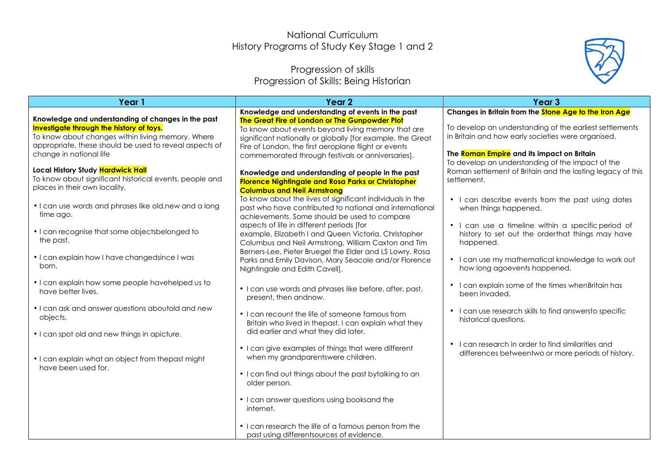## National Curriculum History Programs of Study Key Stage 1 and 2

## Progression of skills Progression of Skills: Being Historian



| Year 1                                                                                                                                                                                                                                   | Year <sub>2</sub>                                                                                                                                                                                                                                                               | Year <sub>3</sub>                                                                                                                                           |
|------------------------------------------------------------------------------------------------------------------------------------------------------------------------------------------------------------------------------------------|---------------------------------------------------------------------------------------------------------------------------------------------------------------------------------------------------------------------------------------------------------------------------------|-------------------------------------------------------------------------------------------------------------------------------------------------------------|
|                                                                                                                                                                                                                                          | Knowledge and understanding of events in the past                                                                                                                                                                                                                               | Changes in Britain from the Stone Age to the Iron Age                                                                                                       |
| Knowledge and understanding of changes in the past<br>Investigate through the history of toys.<br>To know about changes within living memory. Where<br>appropriate, these should be used to reveal aspects of<br>change in national life | The Great Fire of London or The Gunpowder Plot<br>To know about events beyond living memory that are<br>significant nationally or globally [for example, the Great<br>Fire of London, the first aeroplane flight or events<br>commemorated through festivals or anniversaries]. | To develop an understanding of the earliest settlements<br>in Britain and how early societies were organised.<br>The Roman Empire and its impact on Britain |
| Local History Study Hardwick Hall<br>To know about significant historical events, people and<br>places in their own locality.                                                                                                            | Knowledge and understanding of people in the past<br><b>Florence Nightingale and Rosa Parks or Christopher</b><br><b>Columbus and Neil Armstrong</b>                                                                                                                            | To develop an understanding of the impact of the<br>Roman settlement of Britain and the lasting legacy of this<br>settlement.                               |
| • I can use words and phrases like old, new and a long<br>time ago.                                                                                                                                                                      | To know about the lives of significant individuals in the<br>past who have contributed to national and international<br>achievements. Some should be used to compare                                                                                                            | • I can describe events from the past using dates<br>when things happened.                                                                                  |
| • I can recognise that some objectsbelonged to<br>the past.                                                                                                                                                                              | aspects of life in different periods [for<br>example, Elizabeth I and Queen Victoria, Christopher<br>Columbus and Neil Armstrong, William Caxton and Tim                                                                                                                        | • I can use a timeline within a specific period of<br>history to set out the orderthat things may have<br>happened.                                         |
| • I can explain how I have changedsince I was<br>born.                                                                                                                                                                                   | Berners-Lee, Pieter Bruegel the Elder and LS Lowry, Rosa<br>Parks and Emily Davison, Mary Seacole and/or Florence<br>Nightingale and Edith Cavell].                                                                                                                             | • I can use my mathematical knowledge to work out<br>how long agoevents happened.                                                                           |
| • I can explain how some people havehelped us to<br>have better lives.                                                                                                                                                                   | • I can use words and phrases like before, after, past,<br>present, then andnow.                                                                                                                                                                                                | • I can explain some of the times when Britain has<br>been invaded.                                                                                         |
| • I can ask and answer questions aboutold and new<br>objects.                                                                                                                                                                            | • I can recount the life of someone famous from<br>Britain who lived in thepast. I can explain what they                                                                                                                                                                        | • I can use research skills to find answersto specific<br>historical questions.                                                                             |
| • I can spot old and new things in apicture.<br>• I can explain what an object from thepast might<br>have been used for.                                                                                                                 | did earlier and what they did later.<br>• I can give examples of things that were different<br>when my grandparentswere children.                                                                                                                                               | • I can research in order to find similarities and<br>differences betweentwo or more periods of history.                                                    |
|                                                                                                                                                                                                                                          | • I can find out things about the past bytalking to an<br>older person.                                                                                                                                                                                                         |                                                                                                                                                             |
|                                                                                                                                                                                                                                          | • I can answer questions using booksand the<br>internet.                                                                                                                                                                                                                        |                                                                                                                                                             |
|                                                                                                                                                                                                                                          | • I can research the life of a famous person from the<br>past using differentsources of evidence.                                                                                                                                                                               |                                                                                                                                                             |